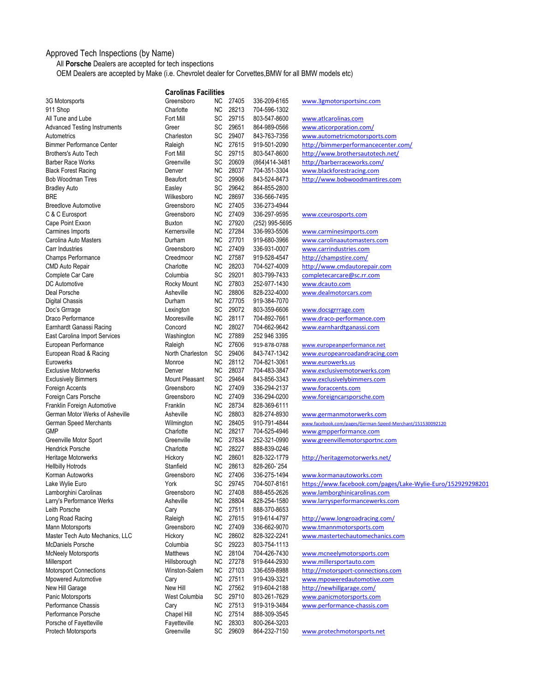## Approved Tech Inspections (by Name)

All **Porsche** Dealers are accepted for tech inspections

OEM Dealers are accepted by Make (i.e. Chevrolet dealer for Corvettes,BMW for all BMW models etc)

|                                     | <b>Carolinas Facilities</b> |           |          |                |                                                             |
|-------------------------------------|-----------------------------|-----------|----------|----------------|-------------------------------------------------------------|
| 3G Motorsports                      | Greensboro                  | NC.       | 27405    | 336-209-6165   | www.3gmotorsportsinc.com                                    |
| 911 Shop                            | Charlotte                   | NC        | 28213    | 704-596-1302   |                                                             |
| All Tune and Lube                   | Fort Mill                   | SC        | 29715    | 803-547-8600   | www.atlcarolinas.com                                        |
| <b>Advanced Testing Instruments</b> | Greer                       | SC        | 29651    | 864-989-0566   | www.aticorporation.com/                                     |
| Autometrics                         | Charleston                  | SC        | 29407    | 843-763-7356   | www.autometricmotorsports.com                               |
| <b>Bimmer Performance Center</b>    | Raleigh                     | <b>NC</b> | 27615    | 919-501-2090   | http://bimmerperformancecenter.com/                         |
| <b>Brothers's Auto Tech</b>         | Fort Mill                   | SC        | 29715    | 803-547-8600   | http://www.brothersautotech.net/                            |
| <b>Barber Race Works</b>            | Greenville                  | SC        | 20609    | (864)414-3481  | http://barberraceworks.com/                                 |
| <b>Black Forest Racing</b>          | Denver                      | <b>NC</b> | 28037    | 704-351-3304   | www.blackforestracing.com                                   |
| <b>Bob Woodman Tires</b>            | <b>Beaufort</b>             | SC        | 29906    | 843-524-8473   | http://www.bobwoodmantires.com                              |
| <b>Bradley Auto</b>                 | Easley                      | SC        | 29642    | 864-855-2800   |                                                             |
| <b>BRE</b>                          | Wilkesboro                  | NC.       | 28697    | 336-566-7495   |                                                             |
| <b>Breedlove Automotive</b>         | Greensboro                  | NC.       | 27405    | 336-273-4944   |                                                             |
| C & C Eurosport                     | Greensboro                  | NC.       | 27409    | 336-297-9595   | www.cceurosports.com                                        |
| Cape Point Exxon                    | <b>Buxton</b>               | <b>NC</b> | 27920    | (252) 995-5695 |                                                             |
| Carmines Imports                    | Kernersville                | NC        | 27284    | 336-993-5506   | www.carminesimports.com                                     |
| Carolina Auto Masters               | Durham                      | NC.       | 27701    | 919-680-3966   | www.carolinaautomasters.com                                 |
| Carr Industries                     | Greensboro                  | NC.       | 27409    | 336-931-0007   | www.carrindustries.com                                      |
| Champs Performance                  | Creedmoor                   | NC        | 27587    | 919-528-4547   | http://champstire.com/                                      |
| <b>CMD Auto Repair</b>              | Charlotte                   | <b>NC</b> | 28203    | 704-527-4009   | http://www.cmdautorepair.com                                |
| Complete Car Care                   | Columbia                    | SC        | 29201    | 803-799-7433   | completecarcare@sc.rr.com                                   |
| DC Automotive                       | Rocky Mount                 | NC        | 27803    | 252-977-1430   | www.dcauto.com                                              |
| Deal Porsche                        | Asheville                   | <b>NC</b> | 28806    | 828-232-4000   | www.dealmotorcars.com                                       |
| <b>Digital Chassis</b>              | Durham                      | <b>NC</b> | 27705    | 919-384-7070   |                                                             |
| Doc's Grrrage                       | Lexington                   | SC        | 29072    | 803-359-6606   | www.docsgrrrage.com                                         |
| Draco Performance                   | Mooresville                 | NC.       | 28117    | 704-892-7661   | www.draco-performance.com                                   |
| Earnhardt Ganassi Racing            | Concord                     | <b>NC</b> | 28027    | 704-662-9642   | www.earnhardtganassi.com                                    |
| East Carolina Import Services       | Washington                  | NC.       | 27889    | 252 946 3395   |                                                             |
| European Performance                | Raleigh                     | NC.       | 27606    | 919-878-0788   | www.europeanperformance.net                                 |
| European Road & Racing              | North Charleston            | SC        | 29406    | 843-747-1342   | www.europeanroadandracing.com                               |
| Eurowerks                           | Monroe                      | NC.       | 28112    | 704-821-3061   | www.eurowerks.us                                            |
| <b>Exclusive Motorwerks</b>         | Denver                      | <b>NC</b> | 28037    | 704-483-3847   | www.exclusivemotorwerks.com                                 |
| <b>Exclusively Bimmers</b>          | Mount Pleasant              | SC        | 29464    | 843-856-3343   | www.exclusivelybimmers.com                                  |
| Foreign Accents                     | Greensboro                  | NC.       | 27409    | 336-294-2137   | www.foraccents.com                                          |
| Foreign Cars Porsche                | Greensboro                  | NC.       | 27409    | 336-294-0200   | www.foreigncarsporsche.com                                  |
| Franklin Foreign Automotive         | Franklin                    | <b>NC</b> | 28734    | 828-369-6111   |                                                             |
| German Motor Werks of Asheville     | Asheville                   | NC.       | 28803    | 828-274-8930   | www.germanmotorwerks.com                                    |
| German Speed Merchants              | Wilmington                  | <b>NC</b> | 28405    | 910-791-4844   | www.facebook.com/pages/German-Speed-Merchant/151530092120   |
| <b>GMP</b>                          | Charlotte                   | <b>NC</b> | 28217    | 704-525-4946   | www.gmpperformance.com                                      |
| Greenville Motor Sport              | Greenville                  | NC.       | 27834    | 252-321-0990   | www.greenvillemotorsportnc.com                              |
| <b>Hendrick Porsche</b>             | Charlotte                   | <b>NC</b> | 28227    | 888-839-0246   |                                                             |
| Heritage Motorwerks                 | Hickory                     | <b>NC</b> | 28601    | 828-322-1779   | http://heritagemotorwerks.net/                              |
| <b>Hellbilly Hotrods</b>            | Stanfield                   | NC.       | 28613    | 828-260-`254   |                                                             |
| Korman Autoworks                    | Greensboro                  | NC.       | 27406    | 336-275-1494   | www.kormanautoworks.com                                     |
| Lake Wylie Euro                     | York                        | SC        | 29745    | 704-507-8161   | https://www.facebook.com/pages/Lake-Wylie-Euro/152929298201 |
| Lamborghini Carolinas               | Greensboro                  | <b>NC</b> | 27408    | 888-455-2626   | www.lamborghinicarolinas.com                                |
| Larry's Performance Werks           | Asheville                   | <b>NC</b> | 28804    | 828-254-1580   | www.larrysperformancewerks.com                              |
| Leith Porsche                       | Cary                        | <b>NC</b> | 27511    | 888-370-8653   |                                                             |
| Long Road Racing                    | Raleigh                     |           | NC 27615 | 919-614-4797   | http://www.longroadracing.com/                              |
| Mann Motorsports                    | Greensboro                  | <b>NC</b> | 27409    | 336-662-9070   | www.tmannmotorsports.com                                    |
| Master Tech Auto Mechanics, LLC     | Hickory                     | <b>NC</b> | 28602    | 828-322-2241   | www.mastertechautomechanics.com                             |
| <b>McDaniels Porsche</b>            | Columbia                    | SC        | 29223    | 803-754-1113   |                                                             |
| <b>McNeely Motorsports</b>          | Matthews                    | <b>NC</b> | 28104    | 704-426-7430   | www.mcneelymotorsports.com                                  |
| Millersport                         | Hillsborough                | <b>NC</b> | 27278    | 919-644-2930   | www.millersportauto.com                                     |
| <b>Motorsport Connections</b>       | Winston-Salem               |           | NC 27103 | 336-659-8988   | http://motorsport-connections.com                           |
| <b>Mpowered Automotive</b>          | Cary                        | <b>NC</b> | 27511    | 919-439-3321   | www.mpoweredautomotive.com                                  |
| New Hill Garage                     | New Hill                    | <b>NC</b> | 27562    | 919-604-2188   | http://newhillgarage.com/                                   |
| Panic Motorsports                   | West Columbia               |           | SC 29710 | 803-261-7629   | www.panicmotorsports.com                                    |
| Performance Chassis                 | Cary                        | <b>NC</b> | 27513    | 919-319-3484   | www.performance-chassis.com                                 |
| Performance Porsche                 | Chapel Hill                 | <b>NC</b> | 27514    | 888-309-3545   |                                                             |
| Porsche of Fayetteville             | Fayetteville                | <b>NC</b> | 28303    | 800-264-3203   |                                                             |
| Protech Motorsports                 | Greenville                  | SC        | 29609    | 864-232-7150   | www.protechmotorsports.net                                  |
|                                     |                             |           |          |                |                                                             |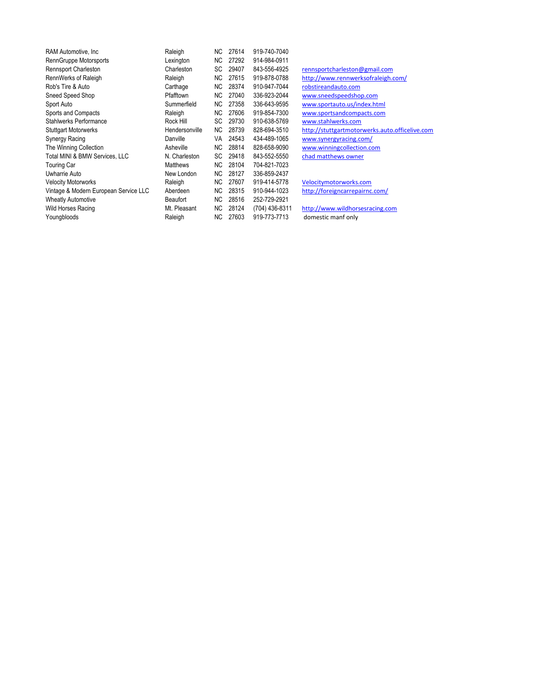| RAM Automotive, Inc.                  | Raleigh         | NC. | 27614 | 919-740-7040   |                                                |
|---------------------------------------|-----------------|-----|-------|----------------|------------------------------------------------|
| RennGruppe Motorsports                | Lexington       | NC. | 27292 | 914-984-0911   |                                                |
| <b>Rennsport Charleston</b>           | Charleston      | SC  | 29407 | 843-556-4925   | rennsportcharleston@gmail.com                  |
| RennWerks of Raleigh                  | Raleigh         | NC. | 27615 | 919-878-0788   | http://www.rennwerksofraleigh.com/             |
| Rob's Tire & Auto                     | Carthage        | NC. | 28374 | 910-947-7044   | robstireandauto.com                            |
| Sneed Speed Shop                      | Pfafftown       | NC. | 27040 | 336-923-2044   | www.sneedspeedshop.com                         |
| Sport Auto                            | Summerfield     | NC. | 27358 | 336-643-9595   | www.sportauto.us/index.html                    |
| Sports and Compacts                   | Raleigh         | NC. | 27606 | 919-854-7300   | www.sportsandcompacts.com                      |
| <b>Stahlwerks Performance</b>         | Rock Hill       | SC  | 29730 | 910-638-5769   | www.stahlwerks.com                             |
| <b>Stuttgart Motorwerks</b>           | Hendersonville  | NC. | 28739 | 828-694-3510   | http://stuttgartmotorwerks.auto.officelive.com |
| Synergy Racing                        | Danville        | VA. | 24543 | 434-489-1065   | www.synergyracing.com/                         |
| The Winning Collection                | Asheville       | NC. | 28814 | 828-658-9090   | www.winningcollection.com                      |
| Total MINI & BMW Services, LLC        | N. Charleston   | SC  | 29418 | 843-552-5550   | chad matthews owner                            |
| <b>Touring Car</b>                    | <b>Matthews</b> | NC. | 28104 | 704-821-7023   |                                                |
| Uwharrie Auto                         | New London      | NC. | 28127 | 336-859-2437   |                                                |
| <b>Velocity Motorworks</b>            | Raleigh         | NC. | 27607 | 919-414-5778   | Velocitymotorworks.com                         |
| Vintage & Modern European Service LLC | Aberdeen        | NC. | 28315 | 910-944-1023   | http://foreigncarrepairnc.com/                 |
| <b>Wheatly Automotive</b>             | <b>Beaufort</b> | NC. | 28516 | 252-729-2921   |                                                |
| Wild Horses Racing                    | Mt. Pleasant    | NC. | 28124 | (704) 436-8311 | http://www.wildhorsesracing.com                |
| Youngbloods                           | Raleigh         | NC. | 27603 | 919-773-7713   | domestic manf only                             |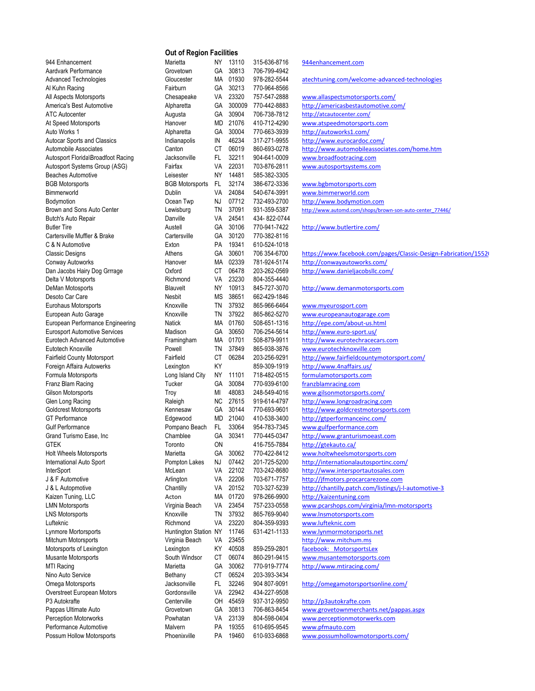|                                           | <b>Out of Region Facilities</b>  |           |                |                              |                                                                      |  |  |
|-------------------------------------------|----------------------------------|-----------|----------------|------------------------------|----------------------------------------------------------------------|--|--|
| 944 Enhancement                           | Marietta                         | NY        | 13110          | 315-636-8716                 | 944enhancement.com                                                   |  |  |
| Aardvark Performance                      | Grovetown                        | GA        | 30813          | 706-799-4942                 |                                                                      |  |  |
| <b>Advanced Technologies</b>              | Gloucester                       |           | MA 01930       | 978-282-5544                 | atechtuning.com/welcome-advanced-technologies                        |  |  |
| Al Kuhn Racing                            | Fairburn                         | GA        | 30213          | 770-964-8566                 |                                                                      |  |  |
| All Aspects Motorsports                   | Chesapeake                       | VA        | 23320          | 757-547-2888                 | www.allaspectsmotorsports.com/                                       |  |  |
| America's Best Automotive                 | Alpharetta                       | GA        | 300009         | 770-442-8883                 | http://americasbestautomotive.com/                                   |  |  |
| <b>ATC Autocenter</b>                     | Augusta                          | GА        | 30904          | 706-738-7812                 | http://atcautocenter.com/                                            |  |  |
| At Speed Motorsports                      | Hanover                          | MD        | 21076          | 410-712-4290                 | www.atspeedmotorsports.com                                           |  |  |
| Auto Works 1                              | Alpharetta                       | GA        | 30004          | 770-663-3939                 | http://autoworks1.com/                                               |  |  |
| <b>Autocar Sports and Classics</b>        | Indianapolis                     | IN        | 46234          | 317-271-9955                 | http://www.eurocardoc.com/                                           |  |  |
| Automobile Associates                     | Canton                           | СT        | 06019          | 860-693-0278                 | http://www.automobileassociates.com/home.htm                         |  |  |
| Autosport Florida\Broadfoot Racing        | Jacksonville                     | FL.       | 32211          | 904-641-0009                 | www.broadfootracing.com                                              |  |  |
| Autosport Systems Group (ASG)             | Fairfax                          | VA        | 22031          | 703-876-2811                 | www.autosportsystems.com                                             |  |  |
| <b>Beaches Automotive</b>                 | Leisester                        | NY        | 14481<br>32174 | 585-382-3305                 |                                                                      |  |  |
| <b>BGB Motorsports</b><br>Bimmerworld     | <b>BGB Motorsports</b><br>Dublin | FL.<br>VA | 24084          | 386-672-3336<br>540-674-3991 | www.bgbmotorsports.com<br>www.bimmerworld.com                        |  |  |
| Bodymotion                                | Ocean Twp                        | NJ        | 07712          | 732-493-2700                 | http://www.bodymotion.com                                            |  |  |
| Brown and Sons Auto Center                | Lewisburg                        | TN        | 37091          | 931-359-5387                 | http://www.automd.com/shops/brown-son-auto-center 77446/             |  |  |
| Butch's Auto Repair                       | Danville                         | VA        | 24541          | 434-822-0744                 |                                                                      |  |  |
| <b>Butler Tire</b>                        | Austell                          | GA        | 30106          | 770-941-7422                 | http://www.butlertire.com/                                           |  |  |
| Cartersville Muffler & Brake              | Cartersville                     | GA        | 30120          | 770-382-8116                 |                                                                      |  |  |
| C & N Automotive                          | Exton                            | PA        | 19341          | 610-524-1018                 |                                                                      |  |  |
| <b>Classic Designs</b>                    | Athens                           | GA        | 30601          | 706 354-6700                 | https://www.facebook.com/pages/Classic-Design-Fabrication/1552       |  |  |
| Conway Autoworks                          | Hanover                          | МA        | 02339          | 781-924-5174                 | http://conwayautoworks.com/                                          |  |  |
| Dan Jacobs Hairy Dog Grrrage              | Oxford                           | СT        | 06478          | 203-262-0569                 | http://www.danieljacobsllc.com/                                      |  |  |
| Delta V Motorsports                       | Richmond                         | VA        | 23230          | 804-355-4440                 |                                                                      |  |  |
| DeMan Motosports                          | Blauvelt                         | NY        | 10913          | 845-727-3070                 | http://www.demanmotorsports.com                                      |  |  |
| Desoto Car Care                           | Nesbit                           | МS        | 38651          | 662-429-1846                 |                                                                      |  |  |
| Eurohaus Motorsports                      | Knoxville                        | TN        | 37932          | 865-966-6464                 | www.myeurosport.com                                                  |  |  |
| European Auto Garage                      | Knoxville                        | TN        | 37922          | 865-862-5270                 | www.europeanautogarage.com                                           |  |  |
| European Performance Engineering          | Natick                           | МA        | 01760          | 508-651-1316                 | http://epe.com/about-us.html                                         |  |  |
| <b>Eurosport Automotive Services</b>      | Madison                          | GA        | 30650          | 706-254-5614                 | http://www.euro-sport.us/                                            |  |  |
| Eurotech Advanced Automotive              | Framingham                       | МA        | 01701          | 508-879-9911                 | http://www.eurotechracecars.com                                      |  |  |
| Eutotech Knoxville                        | Powell                           | <b>TN</b> | 37849          | 865-938-3876                 | www.eurotechknoxville.com                                            |  |  |
| <b>Fairfield County Motorsport</b>        | Fairfield                        | СT        | 06284          | 203-256-9291                 | http://www.fairfieldcountymotorsport.com/                            |  |  |
| Foreign Affaira Autowerks                 | Lexington                        | KY        |                | 859-309-1919                 | http://www.4naffairs.us/                                             |  |  |
| Formula Motorsports                       | Long Island City                 | NY        | 11101          | 718-482-0515                 | formulamotorsports.com                                               |  |  |
| Franz Blam Racing                         | Tucker                           | GA        | 30084          | 770-939-6100                 | franzblamracing.com                                                  |  |  |
| Gilson Motorsports                        | Troy                             | MI        | 48083          | 248-549-4016                 | www.gilsonmotorsports.com/                                           |  |  |
| Glen Long Racing<br>Goldcrest Motorsports | Raleigh<br>Kennesaw              | NC.<br>GA | 27615<br>30144 | 919-614-4797                 | http://www.longroadracing.com<br>http://www.goldcrestmotorsports.com |  |  |
| <b>GT</b> Performance                     | Edgewood                         | MD        | 21040          | 770-693-9601<br>410-538-3400 | http://gtperformanceinc.com/                                         |  |  |
| <b>Gulf Performance</b>                   | Pompano Beach                    | FL.       | 33064          | 954-783-7345                 | www.gulfperformance.com                                              |  |  |
| Grand Turismo Ease, Inc.                  | Chamblee                         | GA        | 30341          | 770-445-0347                 | http://www.granturismoeast.com                                       |  |  |
| <b>GTEK</b>                               | Toronto                          | ON        |                | 416-755-7884                 | http://gtekauto.ca/                                                  |  |  |
| <b>Holt Wheels Motorsports</b>            | Marietta                         | GА        | 30062          | 770-422-8412                 | www.holtwheelsmotorsports.com                                        |  |  |
| International Auto Sport                  | Pompton Lakes                    | NJ        | 07442          | 201-725-5200                 | http://internationalautosportinc.com/                                |  |  |
| InterSport                                | McLean                           | VA        | 22102          | 703-242-8680                 | http://www.intersportautosales.com                                   |  |  |
| J & F Automotive                          | Arlington                        | VA        | 22206          | 703-671-7757                 | http://jfmotors.procarcarezone.com                                   |  |  |
| J & L Autopmotive                         | Chantilly                        | VA        | 20152          | 703-327-5239                 | http://chantilly.patch.com/listings/j-l-automotive-3                 |  |  |
| Kaizen Tuning, LLC                        | Acton                            | МA        | 01720          | 978-266-9900                 | http://kaizentuning.com                                              |  |  |
| <b>LMN Motorsports</b>                    | Virginia Beach                   | VA        | 23454          | 757-233-0558                 | www.pcarshops.com/virginia/lmn-motorsports                           |  |  |
| <b>LNS Motorsports</b>                    | Knoxville                        | TN        | 37932          | 865-769-9040                 | www.lnsmotorsports.com                                               |  |  |
| Lufteknic                                 | Richmond                         | VA        | 23220          | 804-359-9393                 | www.lufteknic.com                                                    |  |  |
| Lynmore Mortorsports                      | Huntington Station NY            |           | 11746          | 631-421-1133                 | www.lynmormotorsports.net                                            |  |  |
| Mitchum Motorsports                       | Virginia Beach                   | VA        | 23455          |                              | http://www.mitchum.ms                                                |  |  |
| Motorsports of Lexington                  | Lexington                        | KY        | 40508          | 859-259-2801                 | facebook: MotorsportsLex                                             |  |  |
| <b>Musante Motorsports</b>                | South Windsor                    | СT        | 06074          | 860-291-9415                 | www.musantemotorsports.com                                           |  |  |
| MTI Racing                                | Marietta                         | GA        | 30062          | 770-919-7774                 | http://www.mtiracing.com/                                            |  |  |
| Nino Auto Service                         | Bethany                          | СT        | 06524          | 203-393-3434                 |                                                                      |  |  |
| Omega Motorsports                         | Jacksonville                     | FL.       | 32246          | 904 807-9091                 | http://omegamotorsportsonline.com/                                   |  |  |
| Overstreet European Motors                | Gordonsville                     | VA        | 22942          | 434-227-9508                 |                                                                      |  |  |
| P <sub>3</sub> Autokrafte                 | Centerville                      | OH        | 45459          | 937-312-9950                 | http://p3autokrafte.com                                              |  |  |
| Pappas Ultimate Auto                      | Grovetown                        | GA        | 30813          | 706-863-8454                 | www.grovetownmerchants.net/pappas.aspx                               |  |  |
| <b>Perception Motorworks</b>              | Powhatan                         | VA        | 23139          | 804-598-0404                 | www.perceptionmotorwerks.com                                         |  |  |
| Performance Automotive                    | Malvern                          | PA        | 19355          | 610-695-9545                 | www.pfmauto.com                                                      |  |  |
| Possum Hollow Motorsports                 | Phoenixville                     | PA        | 19460          | 610-933-6868                 | www.possumhollowmotorsports.com/                                     |  |  |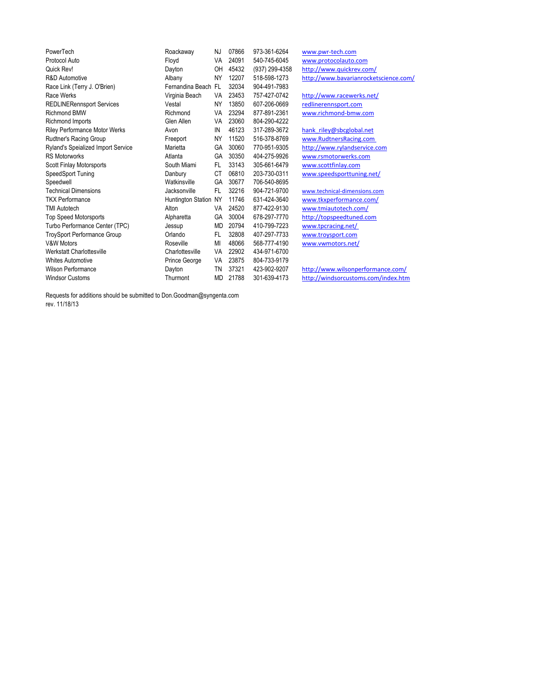| PowerTech                            | Roackaway             | NJ        | 07866 | 973-361-6264   | www.pwr-tech.com                      |
|--------------------------------------|-----------------------|-----------|-------|----------------|---------------------------------------|
| Protocol Auto                        | Floyd                 | VA        | 24091 | 540-745-6045   | www.protocolauto.com                  |
| Quick Rev!                           | Dayton                | OH        | 45432 | (937) 299-4358 | http://www.quickrev.com/              |
| R&D Automotive                       | Albany                | <b>NY</b> | 12207 | 518-598-1273   | http://www.bavarianrocketscience.com/ |
| Race Link (Terry J. O'Brien)         | Fernandina Beach FL   |           | 32034 | 904-491-7983   |                                       |
| Race Werks                           | Virginia Beach        | VA        | 23453 | 757-427-0742   | http://www.racewerks.net/             |
| <b>REDLINERennsport Services</b>     | Vestal                | NY        | 13850 | 607-206-0669   | redlinerennsport.com                  |
| <b>Richmond BMW</b>                  | Richmond              | VA        | 23294 | 877-891-2361   | www.richmond-bmw.com                  |
| Richmond Imports                     | Glen Allen            | VA        | 23060 | 804-290-4222   |                                       |
| <b>Riley Performance Motor Werks</b> | Avon                  | IN        | 46123 | 317-289-3672   | hank riley@sbcglobal.net              |
| Rudtner's Racing Group               | Freeport              | NY        | 11520 | 516-378-8769   | www.RudtnersRacing.com                |
| Ryland's Speialized Import Service   | Marietta              | GA        | 30060 | 770-951-9305   | http://www.rylandservice.com          |
| <b>RS Motorworks</b>                 | Atlanta               | GA        | 30350 | 404-275-9926   | www.rsmotorwerks.com                  |
| Scott Finlay Motorsports             | South Miami           | FL.       | 33143 | 305-661-6479   | www.scottfinlay.com                   |
| SpeedSport Tuning                    | Danbury               | <b>CT</b> | 06810 | 203-730-0311   | www.speedsporttuning.net/             |
| Speedwell                            | Watkinsville          | GA        | 30677 | 706-540-8695   |                                       |
| <b>Technical Dimensions</b>          | Jacksonville          | FL.       | 32216 | 904-721-9700   | www.technical-dimensions.com          |
| <b>TKX Performance</b>               | Huntington Station NY |           | 11746 | 631-424-3640   | www.tkxperformance.com/               |
| <b>TMI Autotech</b>                  | Alton                 | VA        | 24520 | 877-422-9130   | www.tmiautotech.com/                  |
| <b>Top Speed Motorsports</b>         | Alpharetta            | GA        | 30004 | 678-297-7770   | http://topspeedtuned.com              |
| Turbo Performance Center (TPC)       | Jessup                | MD        | 20794 | 410-799-7223   | www.tpcracing.net/                    |
| TroySport Performance Group          | Orlando               | FL.       | 32808 | 407-297-7733   | www.troysport.com                     |
| <b>V&amp;W Motors</b>                | Roseville             | MI        | 48066 | 568-777-4190   | www.vwmotors.net/                     |
| Werkstatt Charlottesville            | Charlottesville       | VA        | 22902 | 434-971-6700   |                                       |
| <b>Whites Automotive</b>             | Prince George         | VA        | 23875 | 804-733-9179   |                                       |
| Wilson Performance                   | Dayton                | ΤN        | 37321 | 423-902-9207   | http://www.wilsonperformance.com/     |
| <b>Windsor Customs</b>               | Thurmont              | MD        | 21788 | 301-639-4173   | http://windsorcustoms.com/index.htm   |

Requests for additions should be submitted to Don.Goodman@syngenta.com rev. 11/18/13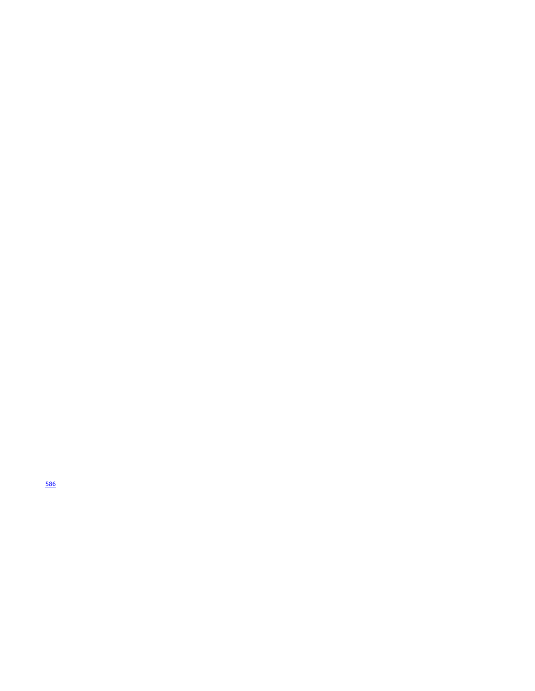https://www.<mark>586</mark>